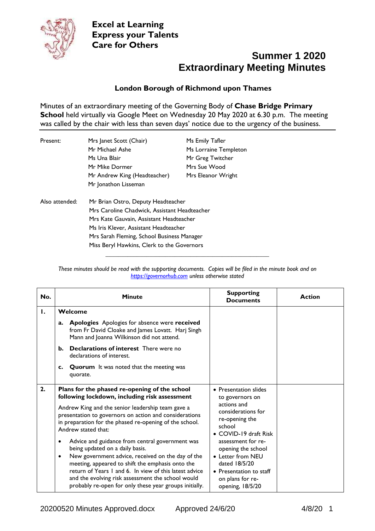

#### **London Borough of Richmond upon Thames**

Minutes of an extraordinary meeting of the Governing Body of **Chase Bridge Primary School** held virtually via Google Meet on Wednesday 20 May 2020 at 6.30 p.m. The meeting was called by the chair with less than seven days' notice due to the urgency of the business.

| Present:                                   | Mrs Janet Scott (Chair)                      | Ms Emily Tafler       |  |
|--------------------------------------------|----------------------------------------------|-----------------------|--|
|                                            | Mr Michael Ashe                              | Ms Lorraine Templeton |  |
|                                            | Ms Una Blair                                 | Mr Greg Twitcher      |  |
|                                            | Mr Mike Dormer                               | Mrs Sue Wood          |  |
|                                            | Mr Andrew King (Headteacher)                 | Mrs Eleanor Wright    |  |
|                                            | Mr Jonathon Lisseman                         |                       |  |
| Also attended:                             | Mr Brian Ostro, Deputy Headteacher           |                       |  |
|                                            | Mrs Caroline Chadwick, Assistant Headteacher |                       |  |
|                                            | Mrs Kate Gauvain, Assistant Headteacher      |                       |  |
|                                            | Ms Iris Klever, Assistant Headteacher        |                       |  |
|                                            | Mrs Sarah Fleming, School Business Manager   |                       |  |
| Miss Beryl Hawkins, Clerk to the Governors |                                              |                       |  |

| These minutes should be read with the supporting documents. Copies will be filed in the minute book and on |  |  |  |
|------------------------------------------------------------------------------------------------------------|--|--|--|
| https://governorhub.com unless otherwise stated                                                            |  |  |  |

**\_\_\_\_\_\_\_\_\_\_\_\_\_\_\_\_\_\_\_\_\_\_\_\_\_\_\_\_\_\_\_\_\_\_\_\_\_\_\_\_\_\_\_\_\_\_\_\_\_\_\_\_**

| No. | <b>Minute</b>                                                                                                                                                                                                             | <b>Supporting</b><br><b>Documents</b>                                                                              | <b>Action</b> |
|-----|---------------------------------------------------------------------------------------------------------------------------------------------------------------------------------------------------------------------------|--------------------------------------------------------------------------------------------------------------------|---------------|
| Ι.  | Welcome                                                                                                                                                                                                                   |                                                                                                                    |               |
|     | Apologies Apologies for absence were received<br>a.<br>from Fr David Cloake and James Lovatt. Harj Singh<br>Mann and Joanna Wilkinson did not attend.                                                                     |                                                                                                                    |               |
|     | <b>Declarations of interest</b> There were no<br>b.<br>declarations of interest.                                                                                                                                          |                                                                                                                    |               |
|     | <b>Quorum</b> It was noted that the meeting was<br>c.<br>quorate.                                                                                                                                                         |                                                                                                                    |               |
| 2.  | Plans for the phased re-opening of the school<br>following lockdown, including risk assessment<br>Andrew King and the senior leadership team gave a<br>presentation to governors on action and considerations             | • Presentation slides<br>to governors on<br>actions and<br>considerations for                                      |               |
|     | in preparation for the phased re-opening of the school.<br>Andrew stated that:                                                                                                                                            | re-opening the<br>school<br>• COVID-19 draft Risk<br>assessment for re-<br>opening the school<br>• Letter from NEU |               |
|     | Advice and guidance from central government was<br>$\bullet$<br>being updated on a daily basis.<br>New government advice, received on the day of the<br>٠                                                                 |                                                                                                                    |               |
|     | meeting, appeared to shift the emphasis onto the<br>return of Years 1 and 6. In view of this latest advice<br>and the evolving risk assessment the school would<br>probably re-open for only these year groups initially. | dated 18/5/20<br>• Presentation to staff<br>on plans for re-<br>opening, 18/5/20                                   |               |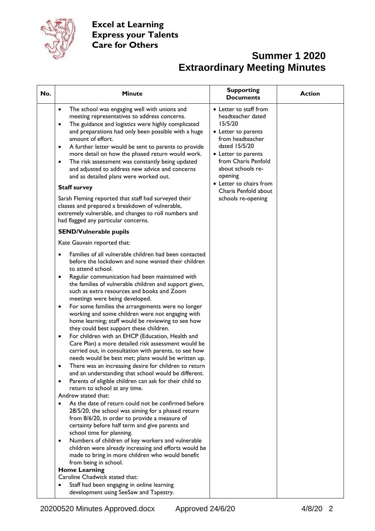

| No. | <b>Minute</b>                                                                                                                                                                                                                                                                                                                                                                                                                                                                                                                                                                                                                                                                                                                                                                      | <b>Supporting</b><br><b>Documents</b>                                                                                                                                                                                                                                     | <b>Action</b> |
|-----|------------------------------------------------------------------------------------------------------------------------------------------------------------------------------------------------------------------------------------------------------------------------------------------------------------------------------------------------------------------------------------------------------------------------------------------------------------------------------------------------------------------------------------------------------------------------------------------------------------------------------------------------------------------------------------------------------------------------------------------------------------------------------------|---------------------------------------------------------------------------------------------------------------------------------------------------------------------------------------------------------------------------------------------------------------------------|---------------|
|     | The school was engaging well with unions and<br>$\bullet$<br>meeting representatives to address concerns.<br>The guidance and logistics were highly complicated<br>$\bullet$<br>and preparations had only been possible with a huge<br>amount of effort.<br>A further letter would be sent to parents to provide<br>$\bullet$<br>more detail on how the phased return would work.<br>The risk assessment was constantly being updated<br>$\bullet$<br>and adjusted to address new advice and concerns<br>and as detailed plans were worked out.<br><b>Staff survey</b><br>Sarah Fleming reported that staff had surveyed their<br>classes and prepared a breakdown of vulnerable,<br>extremely vulnerable, and changes to roll numbers and<br>had flagged any particular concerns. | • Letter to staff from<br>headteacher dated<br>15/5/20<br>• Letter to parents<br>from headteacher<br>dated 15/5/20<br>• Letter to parents<br>from Charis Penfold<br>about schools re-<br>opening<br>• Letter to chairs from<br>Charis Penfold about<br>schools re-opening |               |
|     | <b>SEND/Vulnerable pupils</b>                                                                                                                                                                                                                                                                                                                                                                                                                                                                                                                                                                                                                                                                                                                                                      |                                                                                                                                                                                                                                                                           |               |
|     | Kate Gauvain reported that:                                                                                                                                                                                                                                                                                                                                                                                                                                                                                                                                                                                                                                                                                                                                                        |                                                                                                                                                                                                                                                                           |               |
|     | Families of all vulnerable children had been contacted<br>before the lockdown and none wanted their children<br>to attend school.<br>Regular communication had been maintained with<br>٠<br>the families of vulnerable children and support given,<br>such as extra resources and books and Zoom<br>meetings were being developed.                                                                                                                                                                                                                                                                                                                                                                                                                                                 |                                                                                                                                                                                                                                                                           |               |
|     | For some families the arrangements were no longer<br>٠<br>working and some children were not engaging with<br>home learning; staff would be reviewing to see how<br>they could best support these children.                                                                                                                                                                                                                                                                                                                                                                                                                                                                                                                                                                        |                                                                                                                                                                                                                                                                           |               |
|     | For children with an EHCP (Education, Health and<br>$\bullet$<br>Care Plan) a more detailed risk assessment would be<br>carried out, in consultation with parents, to see how<br>needs would be best met; plans would be written up.                                                                                                                                                                                                                                                                                                                                                                                                                                                                                                                                               |                                                                                                                                                                                                                                                                           |               |
|     | There was an increasing desire for children to return                                                                                                                                                                                                                                                                                                                                                                                                                                                                                                                                                                                                                                                                                                                              |                                                                                                                                                                                                                                                                           |               |
|     | and an understanding that school would be different.<br>Parents of eligible children can ask for their child to<br>$\bullet$<br>return to school at any time.<br>Andrew stated that:                                                                                                                                                                                                                                                                                                                                                                                                                                                                                                                                                                                               |                                                                                                                                                                                                                                                                           |               |
|     | As the date of return could not be confirmed before<br>$\bullet$<br>28/5/20, the school was aiming for a phased return<br>from 8/6/20, in order to provide a measure of<br>certainty before half term and give parents and<br>school time for planning.                                                                                                                                                                                                                                                                                                                                                                                                                                                                                                                            |                                                                                                                                                                                                                                                                           |               |
|     | Numbers of children of key workers and vulnerable<br>٠<br>children were already increasing and efforts would be<br>made to bring in more children who would benefit<br>from being in school.<br><b>Home Learning</b>                                                                                                                                                                                                                                                                                                                                                                                                                                                                                                                                                               |                                                                                                                                                                                                                                                                           |               |
|     | Caroline Chadwick stated that:                                                                                                                                                                                                                                                                                                                                                                                                                                                                                                                                                                                                                                                                                                                                                     |                                                                                                                                                                                                                                                                           |               |
|     | Staff had been engaging in online learning<br>development using SeeSaw and Tapestry.                                                                                                                                                                                                                                                                                                                                                                                                                                                                                                                                                                                                                                                                                               |                                                                                                                                                                                                                                                                           |               |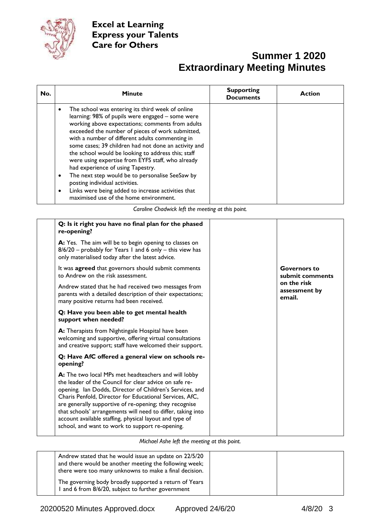

| No. | <b>Minute</b>                                                                                                                                                                                                                                                                                                                                                                                                                                                                                                                                                                                                                                                | <b>Supporting</b><br><b>Documents</b> | <b>Action</b> |
|-----|--------------------------------------------------------------------------------------------------------------------------------------------------------------------------------------------------------------------------------------------------------------------------------------------------------------------------------------------------------------------------------------------------------------------------------------------------------------------------------------------------------------------------------------------------------------------------------------------------------------------------------------------------------------|---------------------------------------|---------------|
|     | The school was entering its third week of online<br>learning: 98% of pupils were engaged - some were<br>working above expectations; comments from adults<br>exceeded the number of pieces of work submitted,<br>with a number of different adults commenting in<br>some cases; 39 children had not done an activity and<br>the school would be looking to address this; staff<br>were using expertise from EYFS staff, who already<br>had experience of using Tapestry.<br>The next step would be to personalise SeeSaw by<br>posting individual activities.<br>Links were being added to increase activities that<br>maximised use of the home environment. |                                       |               |

*Caroline Chadwick left the meeting at this point.*

| Q: Is it right you have no final plan for the phased<br>re-opening?                                                                                                                                                                                                                                                                                                                                                                                                          |                                        |
|------------------------------------------------------------------------------------------------------------------------------------------------------------------------------------------------------------------------------------------------------------------------------------------------------------------------------------------------------------------------------------------------------------------------------------------------------------------------------|----------------------------------------|
| A: Yes. The aim will be to begin opening to classes on<br>8/6/20 - probably for Years 1 and 6 only - this view has<br>only materialised today after the latest advice.                                                                                                                                                                                                                                                                                                       |                                        |
| It was <b>agreed</b> that governors should submit comments<br>to Andrew on the risk assessment.                                                                                                                                                                                                                                                                                                                                                                              | <b>Governors to</b><br>submit comments |
| Andrew stated that he had received two messages from<br>parents with a detailed description of their expectations;<br>many positive returns had been received.                                                                                                                                                                                                                                                                                                               | on the risk<br>assessment by<br>email. |
| Q: Have you been able to get mental health<br>support when needed?                                                                                                                                                                                                                                                                                                                                                                                                           |                                        |
| A: Therapists from Nightingale Hospital have been<br>welcoming and supportive, offering virtual consultations<br>and creative support; staff have welcomed their support.                                                                                                                                                                                                                                                                                                    |                                        |
| Q: Have AfC offered a general view on schools re-<br>opening?                                                                                                                                                                                                                                                                                                                                                                                                                |                                        |
| A: The two local MPs met headteachers and will lobby<br>the leader of the Council for clear advice on safe re-<br>opening. Ian Dodds, Director of Children's Services, and<br>Charis Penfold, Director for Educational Services, AfC,<br>are generally supportive of re-opening; they recognise<br>that schools' arrangements will need to differ, taking into<br>account available staffing, physical layout and type of<br>school, and want to work to support re-opening. |                                        |

*Michael Ashe left the meeting at this point.*

| Andrew stated that he would issue an update on 22/5/20<br>and there would be another meeting the following week;<br>there were too many unknowns to make a final decision. |  |
|----------------------------------------------------------------------------------------------------------------------------------------------------------------------------|--|
| The governing body broadly supported a return of Years<br>and 6 from 8/6/20, subject to further government                                                                 |  |